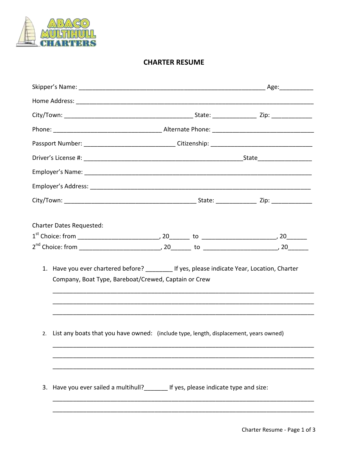

## **CHARTER RESUME**

| <b>Charter Dates Requested:</b>                                                                                                                     |  |  |  |  |
|-----------------------------------------------------------------------------------------------------------------------------------------------------|--|--|--|--|
|                                                                                                                                                     |  |  |  |  |
|                                                                                                                                                     |  |  |  |  |
| 1. Have you ever chartered before? ________ If yes, please indicate Year, Location, Charter<br>Company, Boat Type, Bareboat/Crewed, Captain or Crew |  |  |  |  |
| 2. List any boats that you have owned: (include type, length, displacement, years owned)                                                            |  |  |  |  |
| 3. Have you ever sailed a multihull?________ If yes, please indicate type and size:                                                                 |  |  |  |  |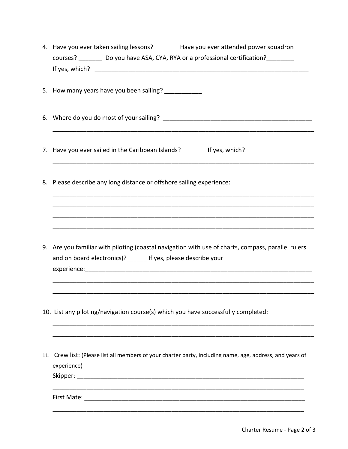| 4. Have you ever taken sailing lessons? Have you ever attended power squadron<br>courses? ___________ Do you have ASA, CYA, RYA or a professional certification?_________ |
|---------------------------------------------------------------------------------------------------------------------------------------------------------------------------|
| 5. How many years have you been sailing? ___________                                                                                                                      |
|                                                                                                                                                                           |
| 7. Have you ever sailed in the Caribbean Islands? ________ If yes, which?                                                                                                 |
| 8. Please describe any long distance or offshore sailing experience:                                                                                                      |
|                                                                                                                                                                           |
| 9. Are you familiar with piloting (coastal navigation with use of charts, compass, parallel rulers<br>and on board electronics)?______ If yes, please describe your       |
| 10. List any piloting/navigation course(s) which you have successfully completed:                                                                                         |
| 11. Crew list: (Please list all members of your charter party, including name, age, address, and years of<br>experience)                                                  |
|                                                                                                                                                                           |